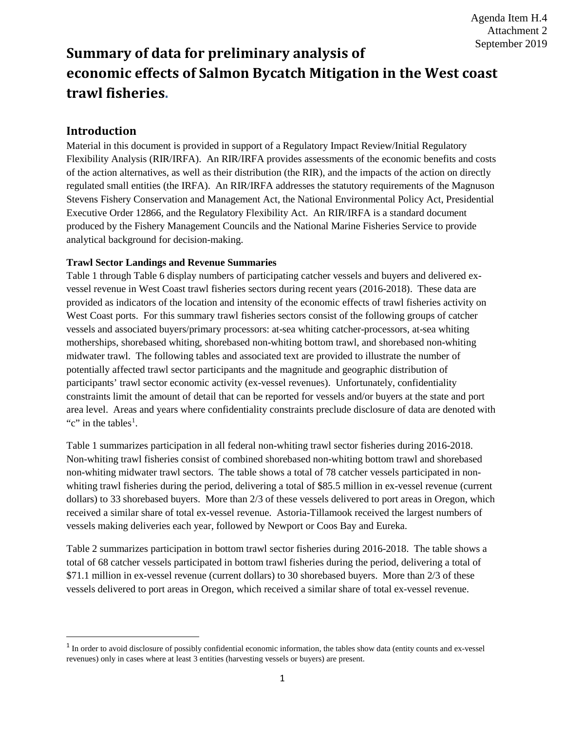Agenda Item H.4 Attachment 2 September 2019

# **Summary of data for preliminary analysis of economic effects of Salmon Bycatch Mitigation in the West coast trawl fisheries.**

### **Introduction**

Material in this document is provided in support of a Regulatory Impact Review/Initial Regulatory Flexibility Analysis (RIR/IRFA). An RIR/IRFA provides assessments of the economic benefits and costs of the action alternatives, as well as their distribution (the RIR), and the impacts of the action on directly regulated small entities (the IRFA). An RIR/IRFA addresses the statutory requirements of the Magnuson Stevens Fishery Conservation and Management Act, the National Environmental Policy Act, Presidential Executive Order 12866, and the Regulatory Flexibility Act. An RIR/IRFA is a standard document produced by the Fishery Management Councils and the National Marine Fisheries Service to provide analytical background for decision-making.

#### **Trawl Sector Landings and Revenue Summaries**

Table 1 through Table 6 display numbers of participating catcher vessels and buyers and delivered exvessel revenue in West Coast trawl fisheries sectors during recent years (2016-2018). These data are provided as indicators of the location and intensity of the economic effects of trawl fisheries activity on West Coast ports. For this summary trawl fisheries sectors consist of the following groups of catcher vessels and associated buyers/primary processors: at-sea whiting catcher-processors, at-sea whiting motherships, shorebased whiting, shorebased non-whiting bottom trawl, and shorebased non-whiting midwater trawl. The following tables and associated text are provided to illustrate the number of potentially affected trawl sector participants and the magnitude and geographic distribution of participants' trawl sector economic activity (ex-vessel revenues). Unfortunately, confidentiality constraints limit the amount of detail that can be reported for vessels and/or buyers at the state and port area level. Areas and years where confidentiality constraints preclude disclosure of data are denoted with "c" in the tables<sup>[1](#page-0-0)</sup>.

Table 1 summarizes participation in all federal non-whiting trawl sector fisheries during 2016-2018. Non-whiting trawl fisheries consist of combined shorebased non-whiting bottom trawl and shorebased non-whiting midwater trawl sectors. The table shows a total of 78 catcher vessels participated in nonwhiting trawl fisheries during the period, delivering a total of \$85.5 million in ex-vessel revenue (current dollars) to 33 shorebased buyers. More than 2/3 of these vessels delivered to port areas in Oregon, which received a similar share of total ex-vessel revenue. Astoria-Tillamook received the largest numbers of vessels making deliveries each year, followed by Newport or Coos Bay and Eureka.

Table 2 summarizes participation in bottom trawl sector fisheries during 2016-2018. The table shows a total of 68 catcher vessels participated in bottom trawl fisheries during the period, delivering a total of \$71.1 million in ex-vessel revenue (current dollars) to 30 shorebased buyers. More than 2/3 of these vessels delivered to port areas in Oregon, which received a similar share of total ex-vessel revenue.

<span id="page-0-0"></span><sup>&</sup>lt;sup>1</sup> In order to avoid disclosure of possibly confidential economic information, the tables show data (entity counts and ex-vessel revenues) only in cases where at least 3 entities (harvesting vessels or buyers) are present.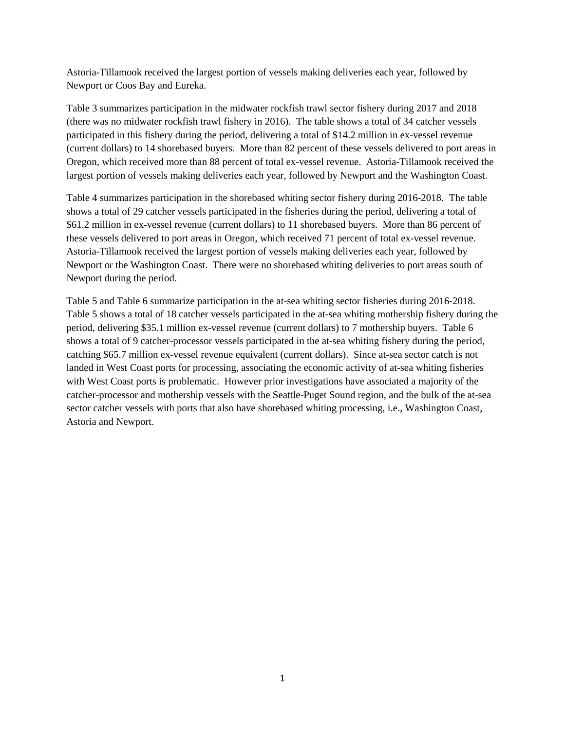Astoria-Tillamook received the largest portion of vessels making deliveries each year, followed by Newport or Coos Bay and Eureka.

Table 3 summarizes participation in the midwater rockfish trawl sector fishery during 2017 and 2018 (there was no midwater rockfish trawl fishery in 2016). The table shows a total of 34 catcher vessels participated in this fishery during the period, delivering a total of \$14.2 million in ex-vessel revenue (current dollars) to 14 shorebased buyers. More than 82 percent of these vessels delivered to port areas in Oregon, which received more than 88 percent of total ex-vessel revenue. Astoria-Tillamook received the largest portion of vessels making deliveries each year, followed by Newport and the Washington Coast.

Table 4 summarizes participation in the shorebased whiting sector fishery during 2016-2018. The table shows a total of 29 catcher vessels participated in the fisheries during the period, delivering a total of \$61.2 million in ex-vessel revenue (current dollars) to 11 shorebased buyers. More than 86 percent of these vessels delivered to port areas in Oregon, which received 71 percent of total ex-vessel revenue. Astoria-Tillamook received the largest portion of vessels making deliveries each year, followed by Newport or the Washington Coast. There were no shorebased whiting deliveries to port areas south of Newport during the period.

Table 5 and Table 6 summarize participation in the at-sea whiting sector fisheries during 2016-2018. Table 5 shows a total of 18 catcher vessels participated in the at-sea whiting mothership fishery during the period, delivering \$35.1 million ex-vessel revenue (current dollars) to 7 mothership buyers. Table 6 shows a total of 9 catcher-processor vessels participated in the at-sea whiting fishery during the period, catching \$65.7 million ex-vessel revenue equivalent (current dollars). Since at-sea sector catch is not landed in West Coast ports for processing, associating the economic activity of at-sea whiting fisheries with West Coast ports is problematic. However prior investigations have associated a majority of the catcher-processor and mothership vessels with the Seattle-Puget Sound region, and the bulk of the at-sea sector catcher vessels with ports that also have shorebased whiting processing, i.e., Washington Coast, Astoria and Newport.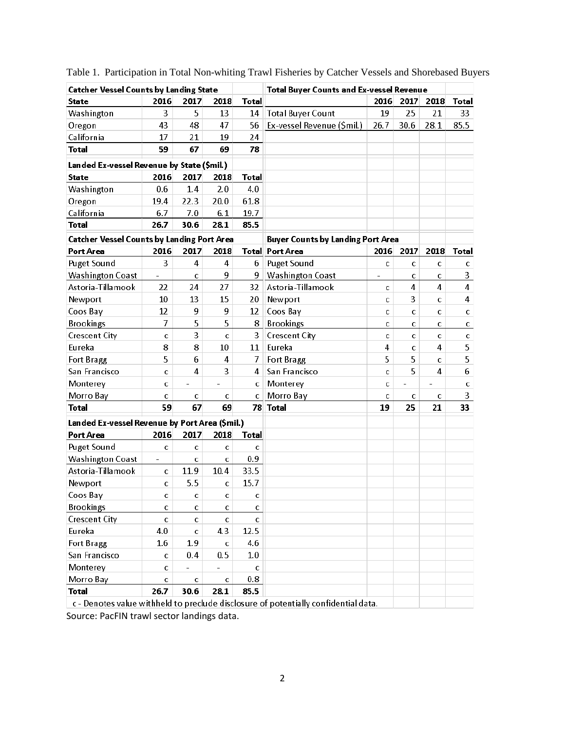| <b>Catcher Vessel Counts by Landing State</b>     |                          |                         |                |              | <b>Total Buyer Counts and Ex-vessel Revenue</b>                                     |              |                |                          |                |
|---------------------------------------------------|--------------------------|-------------------------|----------------|--------------|-------------------------------------------------------------------------------------|--------------|----------------|--------------------------|----------------|
| <b>State</b>                                      | 2016                     | 2017                    | 2018           | <b>Total</b> |                                                                                     | 2016         | 2017           | 2018                     | <b>Total</b>   |
| Washington                                        | 3                        | 5                       | 13             | 14           | <b>Total Buyer Count</b>                                                            | 19           | 25             | 21                       | 33             |
| Oregon                                            | 43                       | 48                      | 47             | 56           | Ex-vessel Revenue (\$mil.)                                                          | 26.7         | 30.6           | 28.1                     | 85.5           |
| California                                        | 17                       | 21                      | 19             | 24           |                                                                                     |              |                |                          |                |
| <b>Total</b>                                      | 59                       | 67                      | 69             | 78           |                                                                                     |              |                |                          |                |
| Landed Ex-vessel Revenue by State (\$mil.)        |                          |                         |                |              |                                                                                     |              |                |                          |                |
| <b>State</b>                                      | 2016                     | 2017                    | 2018           | <b>Total</b> |                                                                                     |              |                |                          |                |
| Washington                                        | 0.6                      | 1.4                     | 2.0            | 4.0          |                                                                                     |              |                |                          |                |
| Oregon                                            | 19.4                     | 22.3                    | 20.0           | 61.8         |                                                                                     |              |                |                          |                |
| California                                        | 6.7                      | 7.0                     | 6.1            | 19.7         |                                                                                     |              |                |                          |                |
| <b>Total</b>                                      | 26.7                     | 30.6                    | 28.1           | 85.5         |                                                                                     |              |                |                          |                |
| <b>Catcher Vessel Counts by Landing Port Area</b> |                          |                         |                |              | <b>Buyer Counts by Landing Port Area</b>                                            |              |                |                          |                |
| Port Area                                         | 2016                     | 2017                    | 2018           |              | Total Port Area                                                                     | 2016         | 2017           | 2018                     | <b>Total</b>   |
| <b>Puget Sound</b>                                | 3                        | $\overline{\mathbf{4}}$ | 4              | 6            | <b>Puget Sound</b>                                                                  | c            | $\mathbf C$    | $\mathbf C$              | C.             |
| <b>Washington Coast</b>                           |                          | C                       | 9              | 9            | <b>Washington Coast</b>                                                             |              | $\mathbf C$    | C                        | 3              |
| Astoria-Tillamook                                 | 22                       | 24                      | 27             | 32           | Astoria-Tillamook                                                                   | $\mathbf{C}$ | 4              | $\overline{4}$           | $\overline{4}$ |
| Newport                                           | 10                       | 13                      | 15             | 20           | Newport                                                                             | c            | 3              | c                        | 4              |
| Coos Bay                                          | 12                       | 9                       | 9              | 12           | Coos Bay                                                                            | C            | $\mathbf{C}$   | C                        | c              |
| <b>Brookings</b>                                  | 7                        | 5                       | 5              | 8            | <b>Brookings</b>                                                                    | C            | c              | C                        | c              |
| <b>Crescent City</b>                              | $\mathbf C$              | 3                       | Ċ              | 3            | <b>Crescent City</b>                                                                | C            | $\mathbf c$    | $\mathbf C$              | c              |
| Eureka                                            | 8                        | 8                       | 10             | 11           | Eureka                                                                              | 4            | $\mathbf C$    | 4                        | 5              |
| Fort Bragg                                        | 5                        | 6                       | 4              | 7            | Fort Bragg                                                                          | 5            | 5              | $\mathbf{C}$             | 5              |
| San Francisco                                     | C                        | 4                       | 3              | 4            | San Francisco                                                                       | C            | 5              | 4                        | 6              |
| Monterey                                          | с                        | $\overline{a}$          | $\overline{a}$ | c            | Monterey                                                                            | C            | $\overline{a}$ | $\overline{\phantom{a}}$ | с              |
| Morro Bay                                         | с                        | c                       | c              | c            | Morro Bay                                                                           | C            | c              | C                        | 3              |
| <b>Total</b>                                      | 59                       | 67                      | 69             |              | 78 Total                                                                            | 19           | 25             | 21                       | 33             |
| Landed Ex-vessel Revenue by Port Area (\$mil.)    |                          |                         |                |              |                                                                                     |              |                |                          |                |
| Port Area                                         | 2016                     | 2017                    | 2018           | <b>Total</b> |                                                                                     |              |                |                          |                |
| <b>Puget Sound</b>                                | $\mathbf C$              | c                       | c              | c            |                                                                                     |              |                |                          |                |
| <b>Washington Coast</b>                           | $\overline{\phantom{a}}$ | $\mathbf C$             | Ċ              | 0.9          |                                                                                     |              |                |                          |                |
| Astoria-Tillamook                                 | c                        | 11.9                    | 10.4           | 33.5         |                                                                                     |              |                |                          |                |
| Newport                                           | с                        | 5.5                     | с              | 15.7         |                                                                                     |              |                |                          |                |
| Coos Bay                                          | с                        | c                       | с              | с            |                                                                                     |              |                |                          |                |
| <b>Brookings</b>                                  | c                        | c                       | c              | c            |                                                                                     |              |                |                          |                |
| <b>Crescent City</b>                              | c                        | c                       | c.             | $\mathbf{C}$ |                                                                                     |              |                |                          |                |
| Eureka                                            | 4.0                      | $\mathbf{C}$            | 4.3            | 12.5         |                                                                                     |              |                |                          |                |
| Fort Bragg                                        | 1.6                      | 1.9                     | c              | 4.6          |                                                                                     |              |                |                          |                |
| San Francisco                                     | c                        | 0.4                     | 0.5            | 1.0          |                                                                                     |              |                |                          |                |
| Monterey                                          | c                        |                         |                | c            |                                                                                     |              |                |                          |                |
| Morro Bay                                         | C.                       | c                       | c              | 0.8          |                                                                                     |              |                |                          |                |
| <b>Total</b>                                      | 26.7                     | 30.6                    | 28.1           | 85.5         |                                                                                     |              |                |                          |                |
|                                                   |                          |                         |                |              | c - Denotes value withheld to preclude disclosure of potentially confidential data. |              |                |                          |                |

Table 1. Participation in Total Non-whiting Trawl Fisheries by Catcher Vessels and Shorebased Buyers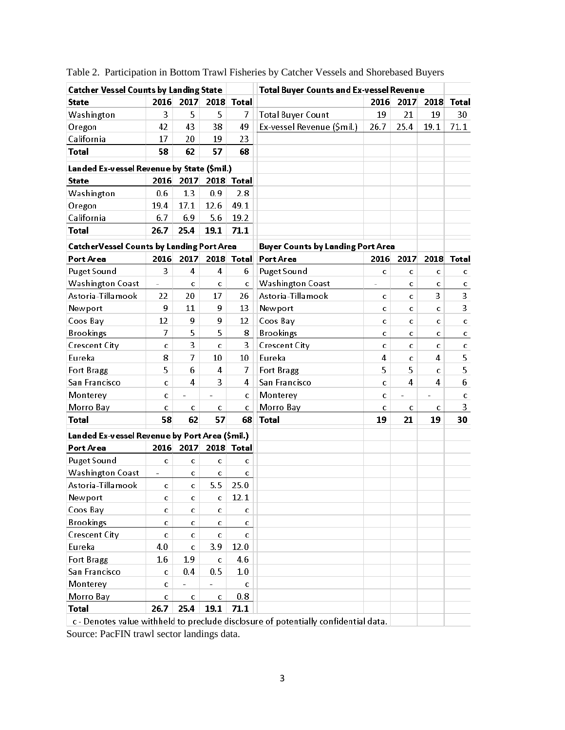| <b>Catcher Vessel Counts by Landing State</b>    |                          |                          |                          |              | <b>Total Buyer Counts and Ex-vessel Revenue</b>                                     |                          |                          |           |              |
|--------------------------------------------------|--------------------------|--------------------------|--------------------------|--------------|-------------------------------------------------------------------------------------|--------------------------|--------------------------|-----------|--------------|
| State                                            | 2016                     | 2017                     | 2018                     | <b>Total</b> |                                                                                     | 2016                     | 2017                     | 2018      | Total        |
| Washington                                       | 3                        | 5                        | 5                        | 7            | <b>Total Buyer Count</b>                                                            | 19                       | 21                       | 19        | 30           |
| Oregon                                           | 42                       | 43                       | 38                       | 49           | Ex-vessel Revenue (\$mil.)                                                          | 26.7                     | 25.4                     | 19.1      | 71.1         |
| California                                       | 17                       | 20                       | 19                       | 23           |                                                                                     |                          |                          |           |              |
| <b>Total</b>                                     | 58                       | 62                       | 57                       | 68           |                                                                                     |                          |                          |           |              |
| Landed Ex-vessel Revenue by State (\$mil.)       |                          |                          |                          |              |                                                                                     |                          |                          |           |              |
| <b>State</b>                                     | 2016                     | 2017                     | 2018                     | <b>Total</b> |                                                                                     |                          |                          |           |              |
| Washington                                       | 0.6                      | 1.3                      | 0.9                      | 2.8          |                                                                                     |                          |                          |           |              |
| Oregon                                           | 19.4                     | 17.1                     | 12.6                     | 49.1         |                                                                                     |                          |                          |           |              |
| California                                       | 6.7                      | 6.9                      | 5.6                      | 19.2         |                                                                                     |                          |                          |           |              |
| <b>Total</b>                                     | 26.7                     | 25.4                     | 19.1                     | 71.1         |                                                                                     |                          |                          |           |              |
| <b>CatcherVessel Counts by Landing Port Area</b> |                          |                          |                          |              | <b>Buyer Counts by Landing Port Area</b>                                            |                          |                          |           |              |
| <b>Port Area</b>                                 | 2016                     | 2017                     | 2018                     | <b>Total</b> | Port Area                                                                           | 2016                     | 2017                     | 2018      | <b>Total</b> |
| Puget Sound                                      | 3                        | $\overline{4}$           | $\overline{4}$           | 6            | <b>Puget Sound</b>                                                                  | C                        | c                        | C         | c            |
| <b>Washington Coast</b>                          | $\overline{\phantom{0}}$ | $\mathbf c$              | с                        | C            | <b>Washington Coast</b>                                                             | $\overline{\phantom{0}}$ | c                        | C         | c            |
| Astoria-Tillamook                                | 22                       | 20                       | 17                       | 26           | Astoria-Tillamook                                                                   | c                        | C                        | 3         | 3            |
| Newport                                          | 9                        | 11                       | 9                        | 13           | Newport                                                                             | Ċ                        | c                        | Ċ         | 3            |
| Coos Bay                                         | 12                       | 9                        | 9                        | 12           | Coos Bay                                                                            | C                        | c                        | C         | c            |
| <b>Brookings</b>                                 | 7                        | 5                        | 5                        | 8            | <b>Brookings</b>                                                                    | Ċ                        | Ċ                        | C         | с            |
| <b>Crescent City</b>                             | $\mathbf C$              | 3                        | c                        | 3            | <b>Crescent City</b>                                                                | C                        | C                        | C         | c            |
| Eureka                                           | 8                        | 7                        | 10                       | 10           | Eureka                                                                              | 4                        | Ċ                        | 4         | 5            |
| Fort Bragg                                       | 5                        | 6                        | 4                        | 7            | <b>Fort Bragg</b>                                                                   | 5                        | 5                        | Ċ         | 5            |
| San Francisco                                    | c                        | 4                        | 3                        | 4            | San Francisco                                                                       | Ċ                        | 4                        | 4         | 6            |
| Monterey                                         | c                        | $\overline{\phantom{a}}$ | $\overline{\phantom{a}}$ | с            | Monterey                                                                            | C                        | $\overline{\phantom{0}}$ | $\bar{ }$ | с            |
| Morro Bay                                        | C                        | c                        | C                        | C            | Morro Bay                                                                           | Ċ                        | $\mathbf C$              | C         | 3            |
| Total                                            | 58                       | 62                       | 57                       | 68           | <b>Total</b>                                                                        | 19                       | 21                       | 19        | 30           |
| Landed Ex-vessel Revenue by Port Area (\$mil.)   |                          |                          |                          |              |                                                                                     |                          |                          |           |              |
| Port Area                                        | 2016                     | 2017                     | 2018                     | <b>Total</b> |                                                                                     |                          |                          |           |              |
| Puget Sound                                      | $\mathbf C$              | $\mathbf C$              | $\mathbf C$              | C            |                                                                                     |                          |                          |           |              |
| <b>Washington Coast</b>                          | $\overline{\phantom{a}}$ | c                        | C                        | с            |                                                                                     |                          |                          |           |              |
| Astoria-Tillamook                                | c                        | $\mathbf c$              | 5.5                      | 25.0         |                                                                                     |                          |                          |           |              |
| Newport                                          | с                        | c                        | с                        | 12.1         |                                                                                     |                          |                          |           |              |
| Coos Bay                                         | c                        | c                        | c                        | c            |                                                                                     |                          |                          |           |              |
| <b>Brookings</b>                                 | C                        | c                        | c                        | c            |                                                                                     |                          |                          |           |              |
| <b>Crescent City</b>                             | c                        | c                        | c                        | c            |                                                                                     |                          |                          |           |              |
| Eureka                                           | 4.0                      | c                        | 3.9                      | 12.0         |                                                                                     |                          |                          |           |              |
| Fort Bragg                                       | $1.6\,$                  | 1.9                      | c                        | 4.6          |                                                                                     |                          |                          |           |              |
| San Francisco                                    | с                        | 0.4                      | 0.5                      | 1.0          |                                                                                     |                          |                          |           |              |
| Monterey                                         | с                        |                          | $\equiv$                 | c            |                                                                                     |                          |                          |           |              |
| Morro Bay                                        | C                        | с                        | C                        | 0.8          |                                                                                     |                          |                          |           |              |
| <b>Total</b>                                     | 26.7                     | 25.4                     | 19.1                     | 71.1         |                                                                                     |                          |                          |           |              |
|                                                  |                          |                          |                          |              | c - Denotes value withheld to preclude disclosure of potentially confidential data. |                          |                          |           |              |

Table 2. Participation in Bottom Trawl Fisheries by Catcher Vessels and Shorebased Buyers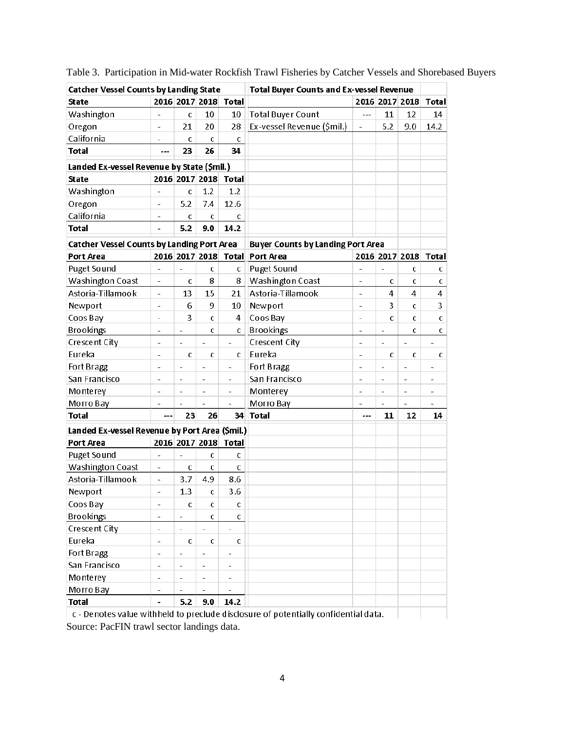| 2016 2017 2018<br>2016 2017 2018<br><b>Total</b><br><b>Total</b><br>State<br>10<br><b>Total Buyer Count</b><br>11<br>12<br>14<br>Washington<br>10<br>C<br>$---$<br>÷,<br>Ex-vessel Revenue (\$mil.)<br>5.2<br>Oregon<br>21<br>20<br>28<br>9.0<br>14.2<br>$\overline{a}$<br>L,<br>California<br>Ċ<br>C<br>c<br>$\overline{a}$<br>26<br>34<br><b>Total</b><br>23<br>---<br>Landed Ex-vessel Revenue by State (\$mil.)<br>2016 2017 2018<br><b>Total</b><br><b>State</b><br>Washington<br>1.2<br>1.2<br>C<br>$\overline{a}$<br>5.2<br>7.4<br>12.6<br>Oregon<br>÷,<br>California<br>C<br>C<br>С<br>$\overline{\phantom{0}}$<br>5.2<br>14.2<br><b>Total</b><br>9.0<br>-<br><b>Catcher Vessel Counts by Landing Port Area</b><br><b>Buyer Counts by Landing Port Area</b><br>2016 2017 2018 Total<br>Port Area<br>Port Area<br>2016 2017 2018<br><b>Total</b><br>Puget Sound<br>Puget Sound<br>C<br>c<br>c<br>C<br>$\overline{\phantom{a}}$<br>÷,<br>÷,<br><b>Washington Coast</b><br>Washington Coast<br>8<br>8<br>C<br>c<br>$\overline{a}$<br>c<br>$\overline{\phantom{0}}$<br>c<br>Astoria-Tillamook<br>Astoria-Tillamook<br>4<br>13<br>15<br>4<br>21<br>4<br>$\overline{\phantom{0}}$<br>÷,<br>9<br>3<br>Newport<br>6<br>10<br>Newport<br>3<br>C<br>$\overline{\phantom{0}}$<br>$\overline{\phantom{0}}$<br>3<br>Coos Bay<br>Coos Bay<br>4<br>$\mathbf C$<br>C<br>Ċ<br>C<br>$\overline{a}$<br>$\overline{a}$<br><b>Brookings</b><br><b>Brookings</b><br>C<br>C<br>c<br>C<br>$\bar{ }$<br>$\overline{\phantom{a}}$<br>$\overline{\phantom{a}}$<br>÷ | <b>Catcher Vessel Counts by Landing State</b> |  |  | <b>Total Buyer Counts and Ex-vessel Revenue</b> |  |  |  |  |
|--------------------------------------------------------------------------------------------------------------------------------------------------------------------------------------------------------------------------------------------------------------------------------------------------------------------------------------------------------------------------------------------------------------------------------------------------------------------------------------------------------------------------------------------------------------------------------------------------------------------------------------------------------------------------------------------------------------------------------------------------------------------------------------------------------------------------------------------------------------------------------------------------------------------------------------------------------------------------------------------------------------------------------------------------------------------------------------------------------------------------------------------------------------------------------------------------------------------------------------------------------------------------------------------------------------------------------------------------------------------------------------------------------------------------------------------------------------------------------------------------------------------------------------------------|-----------------------------------------------|--|--|-------------------------------------------------|--|--|--|--|
|                                                                                                                                                                                                                                                                                                                                                                                                                                                                                                                                                                                                                                                                                                                                                                                                                                                                                                                                                                                                                                                                                                                                                                                                                                                                                                                                                                                                                                                                                                                                                  |                                               |  |  |                                                 |  |  |  |  |
|                                                                                                                                                                                                                                                                                                                                                                                                                                                                                                                                                                                                                                                                                                                                                                                                                                                                                                                                                                                                                                                                                                                                                                                                                                                                                                                                                                                                                                                                                                                                                  |                                               |  |  |                                                 |  |  |  |  |
|                                                                                                                                                                                                                                                                                                                                                                                                                                                                                                                                                                                                                                                                                                                                                                                                                                                                                                                                                                                                                                                                                                                                                                                                                                                                                                                                                                                                                                                                                                                                                  |                                               |  |  |                                                 |  |  |  |  |
|                                                                                                                                                                                                                                                                                                                                                                                                                                                                                                                                                                                                                                                                                                                                                                                                                                                                                                                                                                                                                                                                                                                                                                                                                                                                                                                                                                                                                                                                                                                                                  |                                               |  |  |                                                 |  |  |  |  |
|                                                                                                                                                                                                                                                                                                                                                                                                                                                                                                                                                                                                                                                                                                                                                                                                                                                                                                                                                                                                                                                                                                                                                                                                                                                                                                                                                                                                                                                                                                                                                  |                                               |  |  |                                                 |  |  |  |  |
|                                                                                                                                                                                                                                                                                                                                                                                                                                                                                                                                                                                                                                                                                                                                                                                                                                                                                                                                                                                                                                                                                                                                                                                                                                                                                                                                                                                                                                                                                                                                                  |                                               |  |  |                                                 |  |  |  |  |
|                                                                                                                                                                                                                                                                                                                                                                                                                                                                                                                                                                                                                                                                                                                                                                                                                                                                                                                                                                                                                                                                                                                                                                                                                                                                                                                                                                                                                                                                                                                                                  |                                               |  |  |                                                 |  |  |  |  |
|                                                                                                                                                                                                                                                                                                                                                                                                                                                                                                                                                                                                                                                                                                                                                                                                                                                                                                                                                                                                                                                                                                                                                                                                                                                                                                                                                                                                                                                                                                                                                  |                                               |  |  |                                                 |  |  |  |  |
|                                                                                                                                                                                                                                                                                                                                                                                                                                                                                                                                                                                                                                                                                                                                                                                                                                                                                                                                                                                                                                                                                                                                                                                                                                                                                                                                                                                                                                                                                                                                                  |                                               |  |  |                                                 |  |  |  |  |
|                                                                                                                                                                                                                                                                                                                                                                                                                                                                                                                                                                                                                                                                                                                                                                                                                                                                                                                                                                                                                                                                                                                                                                                                                                                                                                                                                                                                                                                                                                                                                  |                                               |  |  |                                                 |  |  |  |  |
|                                                                                                                                                                                                                                                                                                                                                                                                                                                                                                                                                                                                                                                                                                                                                                                                                                                                                                                                                                                                                                                                                                                                                                                                                                                                                                                                                                                                                                                                                                                                                  |                                               |  |  |                                                 |  |  |  |  |
|                                                                                                                                                                                                                                                                                                                                                                                                                                                                                                                                                                                                                                                                                                                                                                                                                                                                                                                                                                                                                                                                                                                                                                                                                                                                                                                                                                                                                                                                                                                                                  |                                               |  |  |                                                 |  |  |  |  |
|                                                                                                                                                                                                                                                                                                                                                                                                                                                                                                                                                                                                                                                                                                                                                                                                                                                                                                                                                                                                                                                                                                                                                                                                                                                                                                                                                                                                                                                                                                                                                  |                                               |  |  |                                                 |  |  |  |  |
|                                                                                                                                                                                                                                                                                                                                                                                                                                                                                                                                                                                                                                                                                                                                                                                                                                                                                                                                                                                                                                                                                                                                                                                                                                                                                                                                                                                                                                                                                                                                                  |                                               |  |  |                                                 |  |  |  |  |
|                                                                                                                                                                                                                                                                                                                                                                                                                                                                                                                                                                                                                                                                                                                                                                                                                                                                                                                                                                                                                                                                                                                                                                                                                                                                                                                                                                                                                                                                                                                                                  |                                               |  |  |                                                 |  |  |  |  |
|                                                                                                                                                                                                                                                                                                                                                                                                                                                                                                                                                                                                                                                                                                                                                                                                                                                                                                                                                                                                                                                                                                                                                                                                                                                                                                                                                                                                                                                                                                                                                  |                                               |  |  |                                                 |  |  |  |  |
|                                                                                                                                                                                                                                                                                                                                                                                                                                                                                                                                                                                                                                                                                                                                                                                                                                                                                                                                                                                                                                                                                                                                                                                                                                                                                                                                                                                                                                                                                                                                                  |                                               |  |  |                                                 |  |  |  |  |
|                                                                                                                                                                                                                                                                                                                                                                                                                                                                                                                                                                                                                                                                                                                                                                                                                                                                                                                                                                                                                                                                                                                                                                                                                                                                                                                                                                                                                                                                                                                                                  |                                               |  |  |                                                 |  |  |  |  |
|                                                                                                                                                                                                                                                                                                                                                                                                                                                                                                                                                                                                                                                                                                                                                                                                                                                                                                                                                                                                                                                                                                                                                                                                                                                                                                                                                                                                                                                                                                                                                  |                                               |  |  |                                                 |  |  |  |  |
| <b>Crescent City</b><br>Crescent City<br>L,<br>L,<br>L,<br>L,<br>L,                                                                                                                                                                                                                                                                                                                                                                                                                                                                                                                                                                                                                                                                                                                                                                                                                                                                                                                                                                                                                                                                                                                                                                                                                                                                                                                                                                                                                                                                              |                                               |  |  |                                                 |  |  |  |  |
| Eureka<br>Eureka<br>c<br>C<br>c<br>c<br>C<br>C<br>$\blacksquare$<br>$\overline{a}$                                                                                                                                                                                                                                                                                                                                                                                                                                                                                                                                                                                                                                                                                                                                                                                                                                                                                                                                                                                                                                                                                                                                                                                                                                                                                                                                                                                                                                                               |                                               |  |  |                                                 |  |  |  |  |
| Fort Bragg<br>Fort Bragg<br>÷,<br>$\overline{\phantom{a}}$<br>÷,<br>$\overline{a}$<br>÷,<br>÷,<br>ä,                                                                                                                                                                                                                                                                                                                                                                                                                                                                                                                                                                                                                                                                                                                                                                                                                                                                                                                                                                                                                                                                                                                                                                                                                                                                                                                                                                                                                                             |                                               |  |  |                                                 |  |  |  |  |
| San Francisco<br>San Francisco<br>$\overline{a}$<br>$\overline{\phantom{a}}$<br>$\overline{\phantom{0}}$<br>$\overline{a}$                                                                                                                                                                                                                                                                                                                                                                                                                                                                                                                                                                                                                                                                                                                                                                                                                                                                                                                                                                                                                                                                                                                                                                                                                                                                                                                                                                                                                       |                                               |  |  |                                                 |  |  |  |  |
| Monterey<br>Monterey<br>$\overline{\phantom{a}}$<br>L,<br>$\overline{a}$<br>$\overline{a}$<br>$\overline{a}$<br>L,<br>$\overline{a}$<br>$\overline{\phantom{0}}$                                                                                                                                                                                                                                                                                                                                                                                                                                                                                                                                                                                                                                                                                                                                                                                                                                                                                                                                                                                                                                                                                                                                                                                                                                                                                                                                                                                 |                                               |  |  |                                                 |  |  |  |  |
| Morro Bay<br>Morro Bay<br>ä,                                                                                                                                                                                                                                                                                                                                                                                                                                                                                                                                                                                                                                                                                                                                                                                                                                                                                                                                                                                                                                                                                                                                                                                                                                                                                                                                                                                                                                                                                                                     |                                               |  |  |                                                 |  |  |  |  |
| <b>Total</b><br>26<br>34<br><b>Total</b><br>23<br>11<br>12<br>14<br>$---$<br>---                                                                                                                                                                                                                                                                                                                                                                                                                                                                                                                                                                                                                                                                                                                                                                                                                                                                                                                                                                                                                                                                                                                                                                                                                                                                                                                                                                                                                                                                 |                                               |  |  |                                                 |  |  |  |  |
| Landed Ex-vessel Revenue by Port Area (\$mil.)                                                                                                                                                                                                                                                                                                                                                                                                                                                                                                                                                                                                                                                                                                                                                                                                                                                                                                                                                                                                                                                                                                                                                                                                                                                                                                                                                                                                                                                                                                   |                                               |  |  |                                                 |  |  |  |  |
| 2016 2017 2018<br>Port Area<br><b>Total</b>                                                                                                                                                                                                                                                                                                                                                                                                                                                                                                                                                                                                                                                                                                                                                                                                                                                                                                                                                                                                                                                                                                                                                                                                                                                                                                                                                                                                                                                                                                      |                                               |  |  |                                                 |  |  |  |  |
| Puget Sound<br>C<br>c<br>÷,<br>$\overline{\phantom{a}}$                                                                                                                                                                                                                                                                                                                                                                                                                                                                                                                                                                                                                                                                                                                                                                                                                                                                                                                                                                                                                                                                                                                                                                                                                                                                                                                                                                                                                                                                                          |                                               |  |  |                                                 |  |  |  |  |
| Washington Coast<br>C<br>c<br>c<br>$\overline{a}$                                                                                                                                                                                                                                                                                                                                                                                                                                                                                                                                                                                                                                                                                                                                                                                                                                                                                                                                                                                                                                                                                                                                                                                                                                                                                                                                                                                                                                                                                                |                                               |  |  |                                                 |  |  |  |  |
| Astoria-Tillamook<br>3.7<br>4.9<br>8.6<br>$\overline{a}$                                                                                                                                                                                                                                                                                                                                                                                                                                                                                                                                                                                                                                                                                                                                                                                                                                                                                                                                                                                                                                                                                                                                                                                                                                                                                                                                                                                                                                                                                         |                                               |  |  |                                                 |  |  |  |  |
| 1.3<br>3.6<br>C<br>Newport                                                                                                                                                                                                                                                                                                                                                                                                                                                                                                                                                                                                                                                                                                                                                                                                                                                                                                                                                                                                                                                                                                                                                                                                                                                                                                                                                                                                                                                                                                                       |                                               |  |  |                                                 |  |  |  |  |
| Coos Bay<br>$\mathbf{C}$<br>$\mathsf C$<br>$\mathsf C$<br>$\qquad \qquad \blacksquare$                                                                                                                                                                                                                                                                                                                                                                                                                                                                                                                                                                                                                                                                                                                                                                                                                                                                                                                                                                                                                                                                                                                                                                                                                                                                                                                                                                                                                                                           |                                               |  |  |                                                 |  |  |  |  |
| <b>Brookings</b><br>$\mathsf C$<br>$\mathbb C$<br>$\overline{a}$                                                                                                                                                                                                                                                                                                                                                                                                                                                                                                                                                                                                                                                                                                                                                                                                                                                                                                                                                                                                                                                                                                                                                                                                                                                                                                                                                                                                                                                                                 |                                               |  |  |                                                 |  |  |  |  |
| Crescent City<br>$\overline{\phantom{0}}$                                                                                                                                                                                                                                                                                                                                                                                                                                                                                                                                                                                                                                                                                                                                                                                                                                                                                                                                                                                                                                                                                                                                                                                                                                                                                                                                                                                                                                                                                                        |                                               |  |  |                                                 |  |  |  |  |
| Eureka<br>$\mathbf C$<br>$\mathbf C$<br>$\mathsf C$<br>$\overline{a}$                                                                                                                                                                                                                                                                                                                                                                                                                                                                                                                                                                                                                                                                                                                                                                                                                                                                                                                                                                                                                                                                                                                                                                                                                                                                                                                                                                                                                                                                            |                                               |  |  |                                                 |  |  |  |  |
| Fort Bragg<br>$\overline{\phantom{0}}$<br>$\qquad \qquad \blacksquare$<br>÷                                                                                                                                                                                                                                                                                                                                                                                                                                                                                                                                                                                                                                                                                                                                                                                                                                                                                                                                                                                                                                                                                                                                                                                                                                                                                                                                                                                                                                                                      |                                               |  |  |                                                 |  |  |  |  |
| San Francisco<br>$\qquad \qquad -$<br>$\overline{\phantom{a}}$<br>$\overline{\phantom{a}}$<br>$\overline{\phantom{0}}$                                                                                                                                                                                                                                                                                                                                                                                                                                                                                                                                                                                                                                                                                                                                                                                                                                                                                                                                                                                                                                                                                                                                                                                                                                                                                                                                                                                                                           |                                               |  |  |                                                 |  |  |  |  |
| Monterey<br>$\overline{\phantom{0}}$<br>$\overline{\phantom{a}}$<br>$\overline{\phantom{0}}$<br>$\overline{\phantom{a}}$                                                                                                                                                                                                                                                                                                                                                                                                                                                                                                                                                                                                                                                                                                                                                                                                                                                                                                                                                                                                                                                                                                                                                                                                                                                                                                                                                                                                                         |                                               |  |  |                                                 |  |  |  |  |
| Morro Bay<br>$\overline{\phantom{0}}$                                                                                                                                                                                                                                                                                                                                                                                                                                                                                                                                                                                                                                                                                                                                                                                                                                                                                                                                                                                                                                                                                                                                                                                                                                                                                                                                                                                                                                                                                                            |                                               |  |  |                                                 |  |  |  |  |
| 5.2<br><b>Total</b><br>9.0<br>14.2                                                                                                                                                                                                                                                                                                                                                                                                                                                                                                                                                                                                                                                                                                                                                                                                                                                                                                                                                                                                                                                                                                                                                                                                                                                                                                                                                                                                                                                                                                               |                                               |  |  |                                                 |  |  |  |  |

| Table 3. Participation in Mid-water Rockfish Trawl Fisheries by Catcher Vessels and Shorebased Buyers |  |
|-------------------------------------------------------------------------------------------------------|--|
|-------------------------------------------------------------------------------------------------------|--|

c - Denotes value withheld to preclude disclosure of potentially confidential data. Source: PacFIN trawl sector landings data.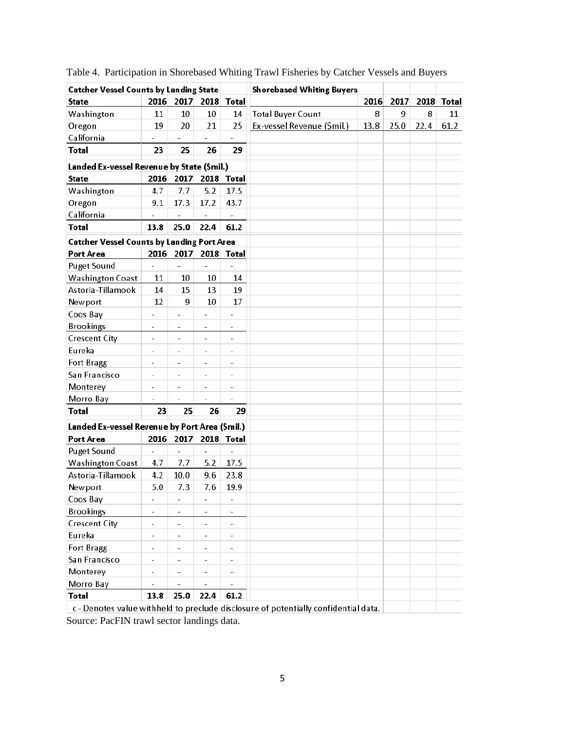| <b>Catcher Vessel Counts by Landing State</b>     |                          |                          |                          |                          | <b>Shorebased Whiting Buyers</b>                                                    |      |      |      |              |
|---------------------------------------------------|--------------------------|--------------------------|--------------------------|--------------------------|-------------------------------------------------------------------------------------|------|------|------|--------------|
| <b>State</b>                                      | 2016                     | 2017                     | 2018                     | <b>Total</b>             |                                                                                     | 2016 | 2017 | 2018 | <b>Total</b> |
| Washington                                        | 11                       | 10                       | 10                       | 14                       | <b>Total Buyer Count</b>                                                            | 8    | 9    | 8    | 11           |
| Oregon                                            | 19                       | 20                       | 21                       | 25                       | Ex-vessel Revenue (\$mil.)                                                          | 13.8 | 25.0 | 22.4 | 61.2         |
| California                                        |                          |                          |                          |                          |                                                                                     |      |      |      |              |
| <b>Total</b>                                      | 23                       | 25                       | 26                       | 29                       |                                                                                     |      |      |      |              |
| Landed Ex-vessel Revenue by State (\$mil.)        |                          |                          |                          |                          |                                                                                     |      |      |      |              |
| <b>State</b>                                      | 2016                     | 2017                     | 2018                     | <b>Total</b>             |                                                                                     |      |      |      |              |
| Washington                                        | 4.7                      | 7.7                      | 5.2                      | 17.5                     |                                                                                     |      |      |      |              |
| Oregon                                            | 9.1                      | 17.3                     | 17.2                     | 43.7                     |                                                                                     |      |      |      |              |
| California                                        |                          |                          |                          |                          |                                                                                     |      |      |      |              |
| Total                                             | 13.8                     | 25.0                     | 22.4                     | 61.2                     |                                                                                     |      |      |      |              |
| <b>Catcher Vessel Counts by Landing Port Area</b> |                          |                          |                          |                          |                                                                                     |      |      |      |              |
| Port Area                                         | 2016                     | 2017                     | 2018                     | <b>Total</b>             |                                                                                     |      |      |      |              |
| <b>Puget Sound</b>                                | $\overline{\phantom{a}}$ | ÷,                       |                          |                          |                                                                                     |      |      |      |              |
| <b>Washington Coast</b>                           | 11                       | 10                       | 10                       | 14                       |                                                                                     |      |      |      |              |
| Astoria-Tillamook                                 | 14                       | 15                       | 13                       | 19                       |                                                                                     |      |      |      |              |
| Newport                                           | 12                       | 9                        | 10                       | 17                       |                                                                                     |      |      |      |              |
| Coos Bay                                          |                          | $\blacksquare$           | $\qquad \qquad -$        | $\overline{\phantom{0}}$ |                                                                                     |      |      |      |              |
| <b>Brookings</b>                                  | $\overline{a}$           | $\overline{\phantom{a}}$ | $\overline{\phantom{a}}$ | $\overline{\phantom{a}}$ |                                                                                     |      |      |      |              |
| <b>Crescent City</b>                              | L,                       | $\overline{a}$           | $\overline{a}$           | $\overline{a}$           |                                                                                     |      |      |      |              |
| Eureka                                            | -                        | $\qquad \qquad -$        | $\overline{\phantom{a}}$ | $\overline{\phantom{a}}$ |                                                                                     |      |      |      |              |
| Fort Bragg                                        | $\overline{a}$           | $\overline{\phantom{a}}$ | $\overline{\phantom{a}}$ | $\overline{\phantom{m}}$ |                                                                                     |      |      |      |              |
| San Francisco                                     |                          | ۰                        | $\overline{\phantom{a}}$ | L.                       |                                                                                     |      |      |      |              |
| Monterey                                          | L,                       | $\overline{a}$           | $\bar{ }$                | $\overline{\phantom{0}}$ |                                                                                     |      |      |      |              |
| Morro Bay                                         |                          | ÷,                       |                          | L.                       |                                                                                     |      |      |      |              |
| <b>Total</b>                                      | 23                       | 25                       | 26                       | 29                       |                                                                                     |      |      |      |              |
| Landed Ex-vessel Revenue by Port Area (\$mil.)    |                          |                          |                          |                          |                                                                                     |      |      |      |              |
| Port Area                                         | 2016                     | 2017                     | 2018                     | <b>Total</b>             |                                                                                     |      |      |      |              |
| <b>Puget Sound</b>                                | $\overline{a}$           | $\overline{\phantom{a}}$ | $\overline{\phantom{a}}$ | $\overline{a}$           |                                                                                     |      |      |      |              |
| <b>Washington Coast</b>                           | 4.7                      | 7.7                      | 5.2                      | 17.5                     |                                                                                     |      |      |      |              |
| Astoria-Tillamook                                 | 4.2                      | 10.0                     | 9.6                      | 23.8                     |                                                                                     |      |      |      |              |
| Newport                                           | 5.0                      | 7.3                      | 7.6                      | 19.9                     |                                                                                     |      |      |      |              |
| Coos Bay                                          | $\qquad \qquad -$        | $\blacksquare$           | $\overline{\phantom{a}}$ | $\overline{\phantom{0}}$ |                                                                                     |      |      |      |              |
| <b>Brookings</b>                                  | $\qquad \qquad -$        | $\overline{\phantom{a}}$ | $\overline{\phantom{a}}$ | $\overline{\phantom{a}}$ |                                                                                     |      |      |      |              |
| <b>Crescent City</b>                              | $\overline{a}$           | $\bar{ }$                | $\overline{\phantom{m}}$ | $\overline{\phantom{a}}$ |                                                                                     |      |      |      |              |
| Eureka                                            | L,                       | $\overline{\phantom{0}}$ | $\overline{\phantom{0}}$ | $\overline{\phantom{0}}$ |                                                                                     |      |      |      |              |
| Fort Bragg                                        | $\overline{a}$           | $\overline{\phantom{a}}$ | $\overline{\phantom{a}}$ | $\overline{\phantom{a}}$ |                                                                                     |      |      |      |              |
| San Francisco                                     | ÷                        | $\overline{\phantom{0}}$ | $\overline{\phantom{0}}$ | $\overline{\phantom{a}}$ |                                                                                     |      |      |      |              |
| Monterey                                          | $\overline{\phantom{0}}$ | $\qquad \qquad -$        | $\qquad \qquad -$        | $\overline{\phantom{m}}$ |                                                                                     |      |      |      |              |
| Morro Bay                                         | $\overline{a}$           | $\overline{\phantom{a}}$ | $\frac{1}{2}$            | $\bar{\phantom{a}}$      |                                                                                     |      |      |      |              |
| <b>Total</b>                                      | 13.8                     | 25.0                     | 22.4                     | 61.2                     |                                                                                     |      |      |      |              |
|                                                   |                          |                          |                          |                          | c - Denotes value withheld to preclude disclosure of potentially confidential data. |      |      |      |              |

Table 4. Participation in Shorebased Whiting Trawl Fisheries by Catcher Vessels and Buyers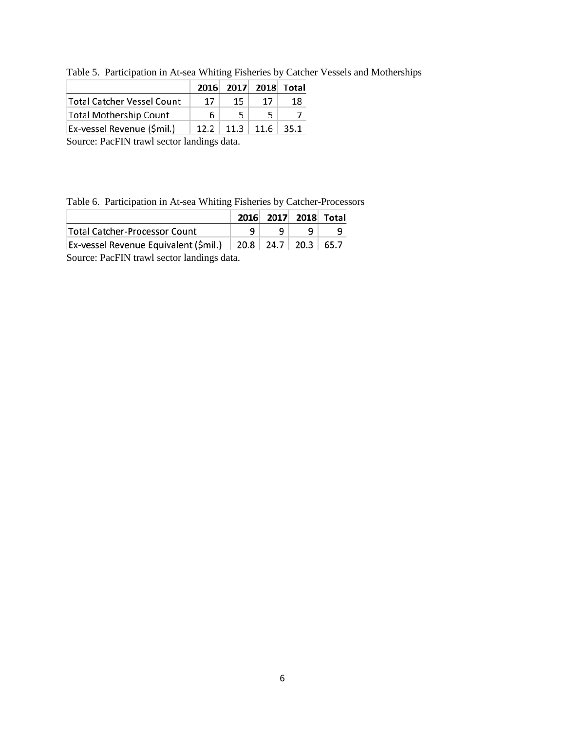Table 5. Participation in At-sea Whiting Fisheries by Catcher Vessels and Motherships

|                               |      | 2016 2017 2018 Total |               |       |
|-------------------------------|------|----------------------|---------------|-------|
| Total Catcher Vessel Count    | 17   | 15                   | 17            | 18    |
| <b>Total Mothership Count</b> | 6.   |                      |               |       |
| Ex-vessel Revenue (\$mil.)    | 12.2 |                      | $11.3$   11.6 | -35.1 |

Table 6. Participation in At-sea Whiting Fisheries by Catcher-Processors

| 2016 2017 2018 Total                                              |  |  |  |  |  |  |  |
|-------------------------------------------------------------------|--|--|--|--|--|--|--|
| <b>Total Catcher-Processor Count</b><br>Q                         |  |  |  |  |  |  |  |
| Ex-vessel Revenue Equivalent (\$mil.)   20.8   24.7   20.3   65.7 |  |  |  |  |  |  |  |
| Source: PacFIN trawl sector landings data.                        |  |  |  |  |  |  |  |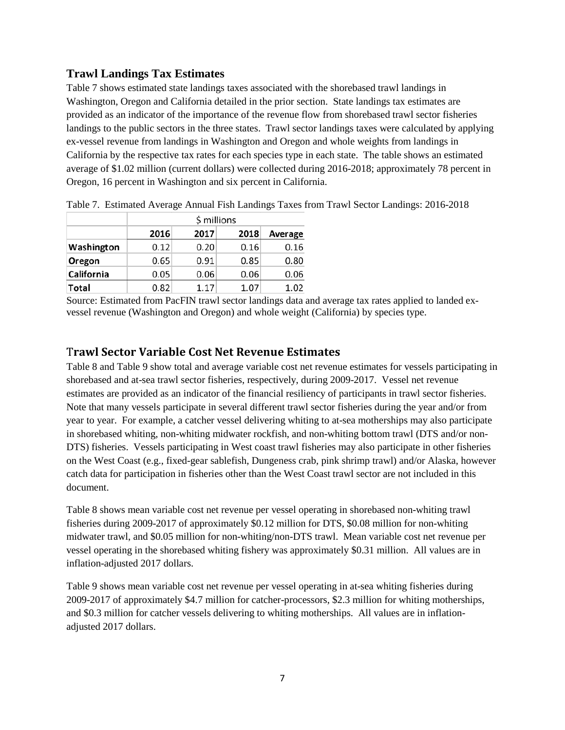# **Trawl Landings Tax Estimates**

Table 7 shows estimated state landings taxes associated with the shorebased trawl landings in Washington, Oregon and California detailed in the prior section. State landings tax estimates are provided as an indicator of the importance of the revenue flow from shorebased trawl sector fisheries landings to the public sectors in the three states. Trawl sector landings taxes were calculated by applying ex-vessel revenue from landings in Washington and Oregon and whole weights from landings in California by the respective tax rates for each species type in each state. The table shows an estimated average of \$1.02 million (current dollars) were collected during 2016-2018; approximately 78 percent in Oregon, 16 percent in Washington and six percent in California.

|            |      | \$ millions |      |         |  |  |  |  |  |  |  |  |
|------------|------|-------------|------|---------|--|--|--|--|--|--|--|--|
|            | 2016 | 2017        | 2018 | Average |  |  |  |  |  |  |  |  |
| Washington | 0.12 | 0.20        | 0.16 | 0.16    |  |  |  |  |  |  |  |  |
| Oregon     | 0.65 | 0.91        | 0.85 | 0.80    |  |  |  |  |  |  |  |  |
| California | 0.05 | 0.06        | 0.06 | 0.06    |  |  |  |  |  |  |  |  |
| Total      | 0.82 | 1.17        | 1.07 | 1.02    |  |  |  |  |  |  |  |  |

Table 7. Estimated Average Annual Fish Landings Taxes from Trawl Sector Landings: 2016-2018

Source: Estimated from PacFIN trawl sector landings data and average tax rates applied to landed exvessel revenue (Washington and Oregon) and whole weight (California) by species type.

## T**rawl Sector Variable Cost Net Revenue Estimates**

Table 8 and Table 9 show total and average variable cost net revenue estimates for vessels participating in shorebased and at-sea trawl sector fisheries, respectively, during 2009-2017. Vessel net revenue estimates are provided as an indicator of the financial resiliency of participants in trawl sector fisheries. Note that many vessels participate in several different trawl sector fisheries during the year and/or from year to year. For example, a catcher vessel delivering whiting to at-sea motherships may also participate in shorebased whiting, non-whiting midwater rockfish, and non-whiting bottom trawl (DTS and/or non-DTS) fisheries. Vessels participating in West coast trawl fisheries may also participate in other fisheries on the West Coast (e.g., fixed-gear sablefish, Dungeness crab, pink shrimp trawl) and/or Alaska, however catch data for participation in fisheries other than the West Coast trawl sector are not included in this document.

Table 8 shows mean variable cost net revenue per vessel operating in shorebased non-whiting trawl fisheries during 2009-2017 of approximately \$0.12 million for DTS, \$0.08 million for non-whiting midwater trawl, and \$0.05 million for non-whiting/non-DTS trawl. Mean variable cost net revenue per vessel operating in the shorebased whiting fishery was approximately \$0.31 million. All values are in inflation-adjusted 2017 dollars.

Table 9 shows mean variable cost net revenue per vessel operating in at-sea whiting fisheries during 2009-2017 of approximately \$4.7 million for catcher-processors, \$2.3 million for whiting motherships, and \$0.3 million for catcher vessels delivering to whiting motherships. All values are in inflationadjusted 2017 dollars.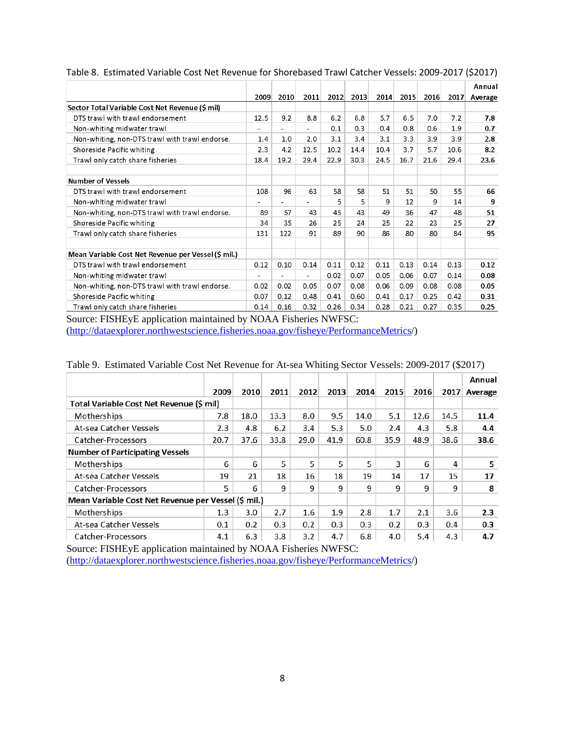|                                                     |                      |      |      |                    |      |      |      |      |      | Annual  |
|-----------------------------------------------------|----------------------|------|------|--------------------|------|------|------|------|------|---------|
|                                                     | 2009                 | 2010 | 2011 | 2012               | 2013 | 2014 | 2015 | 2016 | 2017 | Average |
| Sector Total Variable Cost Net Revenue (\$ mil)     |                      |      |      |                    |      |      |      |      |      |         |
| DTS trawl with trawl endorsement                    | 12.5                 | 9.2  | 8.8  | 6.2                | 6.8  | 5.7  | 6.5  | 7.0  | 7.2  | 7.8     |
| Non-whiting midwater trawl                          |                      |      |      | 0.1                | 0.3  | 0.4  | 0.8  | 0.6  | 1.9  | 0.7     |
| Non-whiting, non-DTS trawl with trawl endorse.      | 1.4                  | 1.0  | 2.0  | 3.1                | 3.4  | 3.1  | 3.3  | 3.9  | 3.9  | 2.8     |
| Shoreside Pacific whiting                           | 2.3                  | 4.2  | 12.5 | 10.2               | 14.4 | 10.4 | 3.7  | 5.7  | 10.6 | 8.2     |
| Trawl only catch share fisheries                    | 18.4                 | 19.2 | 29.4 | 22.9               | 30.3 | 24.5 | 16.7 | 21.6 | 29.4 | 23.6    |
| <b>Number of Vessels</b>                            |                      |      |      |                    |      |      |      |      |      |         |
| DTS trawl with trawl endorsement                    | 108                  | 96   | 63   | 58                 | 58   | 51   | 51   | 50   | 55   | 66      |
| Non-whiting midwater trawl                          |                      |      |      | 5                  | 5    | 9    | 12   | 9    | 14   | 9       |
| Non-whiting, non-DTS trawl with trawl endorse.      | 89                   | 57   | 43   | 45                 | 43   | 49   | 36   | 47   | 48   | 51      |
| Shoreside Pacific whiting                           | 34                   | 35   | 26   | 25                 | 24   | 25   | 22   | 23   | 25   | 27      |
| Trawl only catch share fisheries                    | 131                  | 122  | 91   | 89                 | 90   | 86   | 80   | 80   | 84   | 95      |
| Mean Variable Cost Net Revenue per Vessel (\$ mil.) |                      |      |      |                    |      |      |      |      |      |         |
| DTS trawl with trawl endorsement                    | 0.12                 | 0.10 | 0.14 | 0.11               | 0.12 | 0.11 | 0.13 | 0.14 | 0.13 | 0.12    |
| Non-whiting midwater trawl                          |                      |      |      | 0.02               | 0.07 | 0.05 | 0.06 | 0.07 | 0.14 | 0.08    |
| Non-whiting, non-DTS trawl with trawl endorse.      | 0.02                 | 0.02 | 0.05 | 0.07               | 0.08 | 0.06 | 0.09 | 0.08 | 0.08 | 0.05    |
| Shoreside Pacific whiting                           | 0.07                 | 0.12 | 0.48 | 0.41               | 0.60 | 0.41 | 0.17 | 0.25 | 0.42 | 0.31    |
| Trawl only catch share fisheries<br>$\blacksquare$  | 0.14<br>$\mathbf{v}$ | 0.16 | 0.32 | 0.26<br>$\sqrt{2}$ | 0.34 | 0.28 | 0.21 | 0.27 | 0.35 | 0.25    |

Table 8. Estimated Variable Cost Net Revenue for Shorebased Trawl Catcher Vessels: 2009-2017 (\$2017)

Source: FISHEyE application maintained by NOAA Fisheries NWFSC: [\(http://dataexplorer.northwestscience.fisheries.noaa.gov/fisheye/PerformanceMetrics/](http://dataexplorer.northwestscience.fisheries.noaa.gov/fisheye/PerformanceMetrics))

|                                                     | 2009 | 2010 | 2011 | 2012 | 2013 | 2014 | 2015 | 2016 | 2017 | Annual<br>Average |
|-----------------------------------------------------|------|------|------|------|------|------|------|------|------|-------------------|
| Total Variable Cost Net Revenue (\$ mil)            |      |      |      |      |      |      |      |      |      |                   |
| Motherships                                         | 7.8  | 18.0 | 13.3 | 8.0  | 9.5  | 14.0 | 5.1  | 12.6 | 14.5 | 11.4              |
| At-sea Catcher Vessels                              | 2.3  | 4.8  | 6.2  | 3.4  | 5.3  | 5.0  | 2.4  | 4.3  | 5.8  | 4.4               |
| Catcher-Processors                                  | 20.7 | 37.6 | 33.8 | 29.0 | 41.9 | 60.8 | 35.9 | 48.9 | 38.6 | 38.6              |
| <b>Number of Participating Vessels</b>              |      |      |      |      |      |      |      |      |      |                   |
| Motherships                                         | 6    | 6    | 5    | 5    | 5    | 5    | 3    | 6    | 4    | 5                 |
| At-sea Catcher Vessels                              | 19   | 21   | 18   | 16   | 18   | 19   | 14   | 17   | 15   | 17                |
| Catcher-Processors                                  | 5    | 6    | 9    | 9    | 9    | 9    | 9    | 9    | 9    | 8                 |
| Mean Variable Cost Net Revenue per Vessel (\$ mil.) |      |      |      |      |      |      |      |      |      |                   |
| Motherships                                         | 1.3  | 3.0  | 2.7  | 1.6  | 1.9  | 2.8  | 1.7  | 2.1  | 3.6  | 2.3               |
| At-sea Catcher Vessels                              | 0.1  | 0.2  | 0.3  | 0.2  | 0.3  | 0.3  | 0.2  | 0.3  | 0.4  | 0.3               |
| Catcher-Processors                                  | 4.1  | 6.3  | 3.8  | 3.2  | 4.7  | 6.8  | 4.0  | 5.4  | 4.3  | 4.7               |

#### Table 9. Estimated Variable Cost Net Revenue for At-sea Whiting Sector Vessels: 2009-2017 (\$2017)

Source: FISHEyE application maintained by NOAA Fisheries NWFSC: [\(http://dataexplorer.northwestscience.fisheries.noaa.gov/fisheye/PerformanceMetrics/](http://dataexplorer.northwestscience.fisheries.noaa.gov/fisheye/PerformanceMetrics))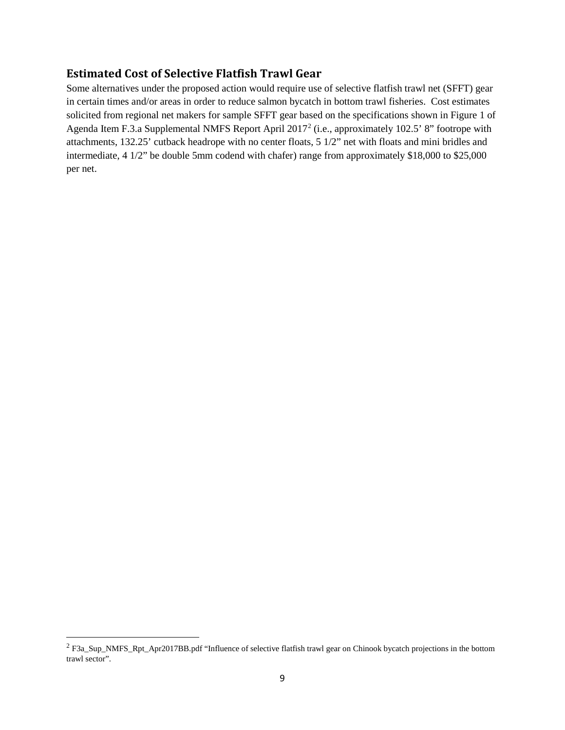# **Estimated Cost of Selective Flatfish Trawl Gear**

Some alternatives under the proposed action would require use of selective flatfish trawl net (SFFT) gear in certain times and/or areas in order to reduce salmon bycatch in bottom trawl fisheries. Cost estimates solicited from regional net makers for sample SFFT gear based on the specifications shown in Figure 1 of Agenda Item F.3.a Supplemental NMFS Report April 2017[2](#page-9-0) (i.e., approximately 102.5' 8" footrope with attachments, 132.25' cutback headrope with no center floats, 5 1/2" net with floats and mini bridles and intermediate, 4 1/2" be double 5mm codend with chafer) range from approximately \$18,000 to \$25,000 per net.

l

<span id="page-9-0"></span><sup>2</sup> F3a\_Sup\_NMFS\_Rpt\_Apr2017BB.pdf "Influence of selective flatfish trawl gear on Chinook bycatch projections in the bottom trawl sector".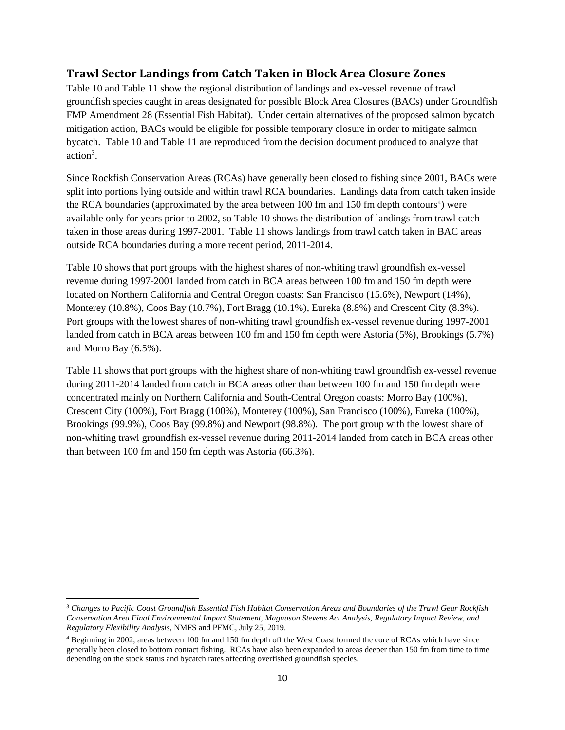# **Trawl Sector Landings from Catch Taken in Block Area Closure Zones**

Table 10 and Table 11 show the regional distribution of landings and ex-vessel revenue of trawl groundfish species caught in areas designated for possible Block Area Closures (BACs) under Groundfish FMP Amendment 28 (Essential Fish Habitat). Under certain alternatives of the proposed salmon bycatch mitigation action, BACs would be eligible for possible temporary closure in order to mitigate salmon bycatch. Table 10 and Table 11 are reproduced from the decision document produced to analyze that action<sup>3</sup>.

Since Rockfish Conservation Areas (RCAs) have generally been closed to fishing since 2001, BACs were split into portions lying outside and within trawl RCA boundaries. Landings data from catch taken inside the RCA boundaries (approximated by the area between  $100$  fm and  $150$  fm depth contours<sup>[4](#page-10-1)</sup>) were available only for years prior to 2002, so Table 10 shows the distribution of landings from trawl catch taken in those areas during 1997-2001. Table 11 shows landings from trawl catch taken in BAC areas outside RCA boundaries during a more recent period, 2011-2014.

Table 10 shows that port groups with the highest shares of non-whiting trawl groundfish ex-vessel revenue during 1997-2001 landed from catch in BCA areas between 100 fm and 150 fm depth were located on Northern California and Central Oregon coasts: San Francisco (15.6%), Newport (14%), Monterey (10.8%), Coos Bay (10.7%), Fort Bragg (10.1%), Eureka (8.8%) and Crescent City (8.3%). Port groups with the lowest shares of non-whiting trawl groundfish ex-vessel revenue during 1997-2001 landed from catch in BCA areas between 100 fm and 150 fm depth were Astoria (5%), Brookings (5.7%) and Morro Bay (6.5%).

Table 11 shows that port groups with the highest share of non-whiting trawl groundfish ex-vessel revenue during 2011-2014 landed from catch in BCA areas other than between 100 fm and 150 fm depth were concentrated mainly on Northern California and South-Central Oregon coasts: Morro Bay (100%), Crescent City (100%), Fort Bragg (100%), Monterey (100%), San Francisco (100%), Eureka (100%), Brookings (99.9%), Coos Bay (99.8%) and Newport (98.8%). The port group with the lowest share of non-whiting trawl groundfish ex-vessel revenue during 2011-2014 landed from catch in BCA areas other than between 100 fm and 150 fm depth was Astoria (66.3%).

l

<span id="page-10-0"></span><sup>3</sup> *Changes to Pacific Coast Groundfish Essential Fish Habitat Conservation Areas and Boundaries of the Trawl Gear Rockfish Conservation Area Final Environmental Impact Statement, Magnuson Stevens Act Analysis, Regulatory Impact Review, and Regulatory Flexibility Analysis*, NMFS and PFMC, July 25, 2019.

<span id="page-10-1"></span><sup>4</sup> Beginning in 2002, areas between 100 fm and 150 fm depth off the West Coast formed the core of RCAs which have since generally been closed to bottom contact fishing. RCAs have also been expanded to areas deeper than 150 fm from time to time depending on the stock status and bycatch rates affecting overfished groundfish species.